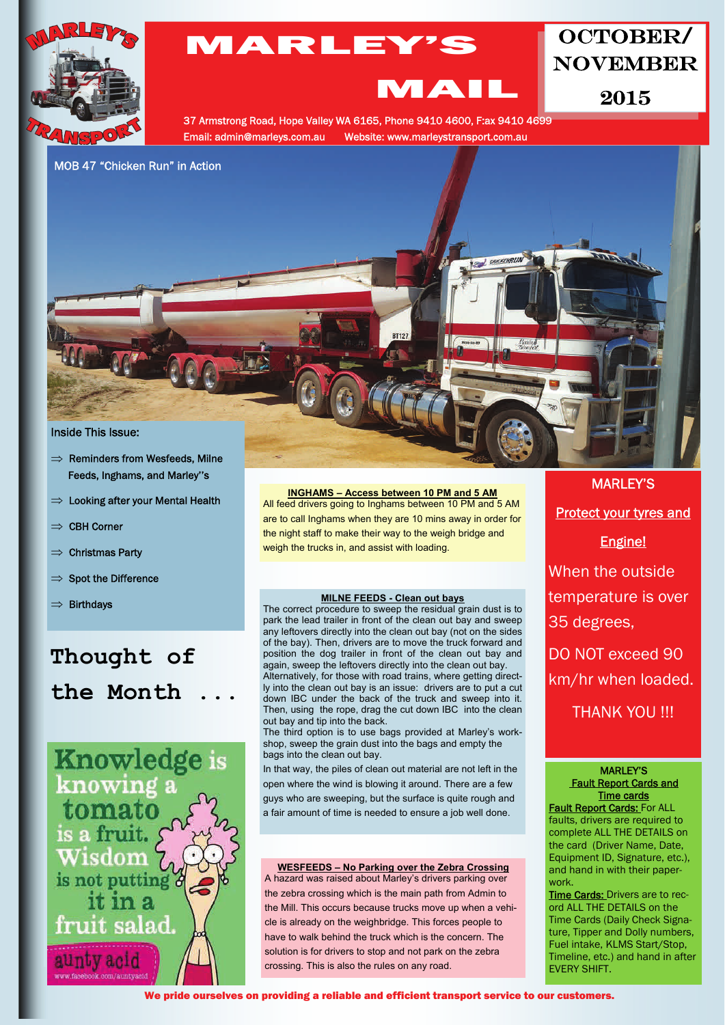

## MARLEY'S

## OCTOBER/ NOVEMBER

2015

37 Armstrong Road, Hope Valley WA 6165, Phone 9410 4600, F:ax 9410 4699 Email: admin@marleys.com.au Website: www.marleystransport.com.au

MAIL

MOB 47 "Chicken Run" in Action



- $\Rightarrow$  Reminders from Wesfeeds, Milne Feeds, Inghams, and Marley''s
- $\Rightarrow$  Looking after your Mental Health
- $\Rightarrow$  CBH Corner
- $\Rightarrow$  Christmas Party
- $\Rightarrow$  Spot the Difference
- $\Rightarrow$  Birthdays

# **Thought of the Month ...**



## **INGHAMS – Access between 10 PM and 5 AM**

All feed drivers going to Inghams between 10 PM and 5 AM are to call Inghams when they are 10 mins away in order for the night staff to make their way to the weigh bridge and weigh the trucks in, and assist with loading.

#### **MILNE FEEDS - Clean out bays**

The correct procedure to sweep the residual grain dust is to park the lead trailer in front of the clean out bay and sweep any leftovers directly into the clean out bay (not on the sides of the bay). Then, drivers are to move the truck forward and position the dog trailer in front of the clean out bay and again, sweep the leftovers directly into the clean out bay. Alternatively, for those with road trains, where getting directly into the clean out bay is an issue: drivers are to put a cut down IBC under the back of the truck and sweep into it. Then, using the rope, drag the cut down IBC into the clean out bay and tip into the back.

The third option is to use bags provided at Marley's workshop, sweep the grain dust into the bags and empty the bags into the clean out bay.

In that way, the piles of clean out material are not left in the open where the wind is blowing it around. There are a few guys who are sweeping, but the surface is quite rough and a fair amount of time is needed to ensure a job well done.

#### **WESFEEDS – No Parking over the Zebra Crossing** A hazard was raised about Marley's drivers parking over

the zebra crossing which is the main path from Admin to the Mill. This occurs because trucks move up when a vehicle is already on the weighbridge. This forces people to have to walk behind the truck which is the concern. The solution is for drivers to stop and not park on the zebra crossing. This is also the rules on any road.

# Protect your tyres and Engine! When the outside temperature is over 35 degrees, DO NOT exceed 90 km/hr when loaded. THANK YOU !!!

MARLEY'S

### MARLEY'S Fault Report Cards and Time cards

**Fault Report Cards: For ALL** faults, drivers are required to complete ALL THE DETAILS on the card (Driver Name, Date, Equipment ID, Signature, etc.), and hand in with their paperwork.

Time Cards: Drivers are to record ALL THE DETAILS on the Time Cards (Daily Check Signature, Tipper and Dolly numbers, Fuel intake, KLMS Start/Stop, Timeline, etc.) and hand in after EVERY SHIFT.